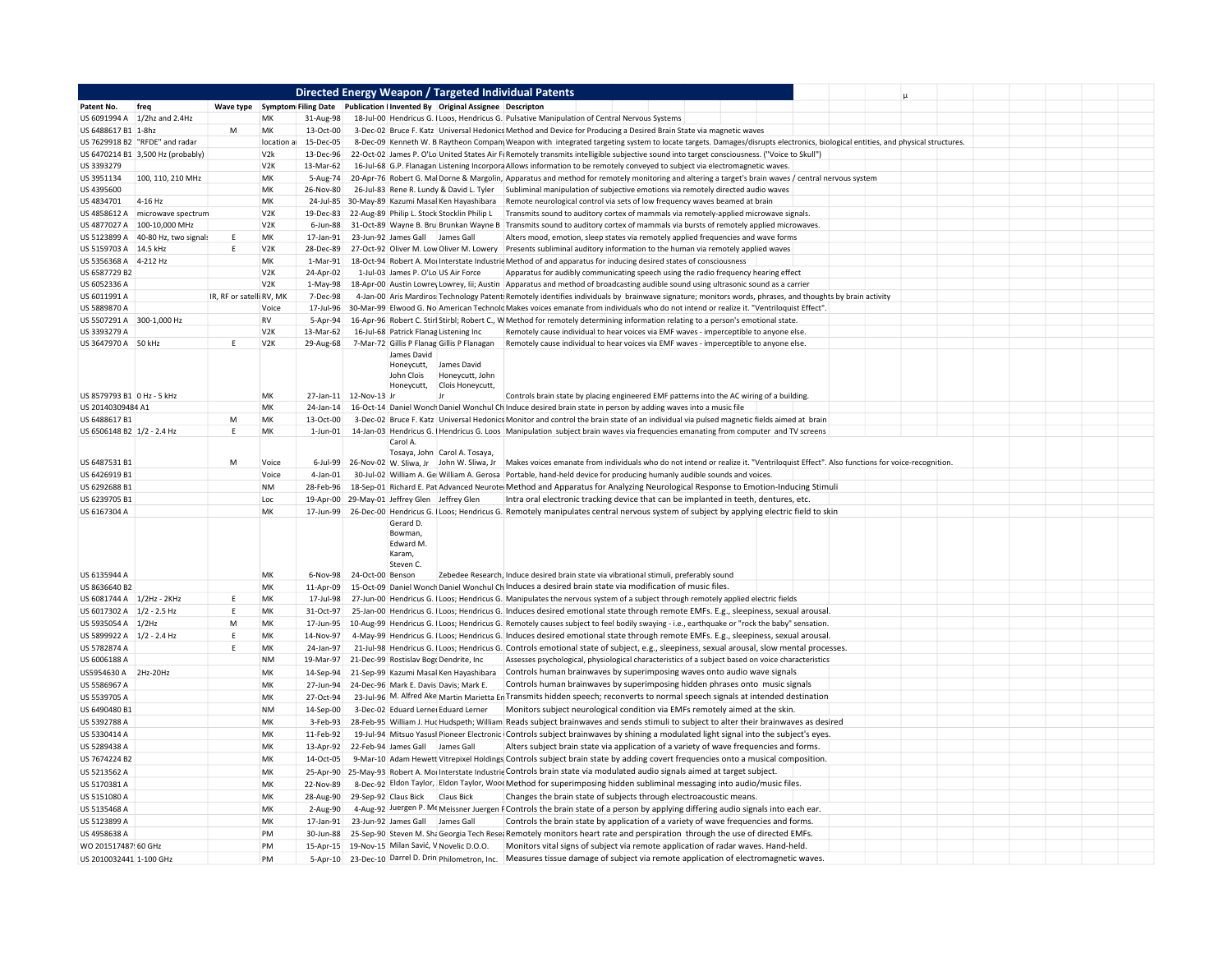|                                    |                                    |                          |                  |                        | Directed Energy Weapon / Targeted Individual Patents                                                                                                                                                                                                                                      |  |
|------------------------------------|------------------------------------|--------------------------|------------------|------------------------|-------------------------------------------------------------------------------------------------------------------------------------------------------------------------------------------------------------------------------------------------------------------------------------------|--|
| Patent No.                         |                                    |                          |                  |                        |                                                                                                                                                                                                                                                                                           |  |
|                                    | US 6091994 A 1/2hz and 2.4Hz       |                          | MK               | 31-Aug-98              | 18-Jul-00 Hendricus G. I Loos, Hendricus G. Pulsative Manipulation of Central Nervous Systems                                                                                                                                                                                             |  |
| US 6488617 B1 1-8hz                |                                    | M                        | МK               | 13-Oct-00              | 3-Dec-02 Bruce F. Katz Universal Hedonics Method and Device for Producing a Desired Brain State via magnetic waves                                                                                                                                                                        |  |
|                                    | US 7629918 B2 "RFDE" and radar     |                          | location a       | 15-Dec-05              | 8-Dec-09 Kenneth W. B Raytheon Company Weapon with integrated targeting system to locate targets. Damages/disrupts electronics, biological entities, and physical structures.                                                                                                             |  |
|                                    | US 6470214 B1 3,500 Hz (probably)  |                          | V <sub>2</sub> k | 13-Dec-96              | 22-Oct-02 James P. O'Lo United States Air Fi Remotely transmits intelligible subjective sound into target consciousness. ("Voice to Skull")                                                                                                                                               |  |
| US 3393279                         |                                    |                          | V <sub>2</sub> K | 13-Mar-62              | 16-Jul-68 G.P. Flanagan Listening Incorpora Allows information to be remotely conveyed to subject via electromagnetic waves.                                                                                                                                                              |  |
| US 3951134<br>US 4395600           | 100, 110, 210 MHz                  |                          | MK<br>MK         | 26-Nov-80              | 5-Aug-74 20-Apr-76 Robert G. Mal Dorne & Margolin, Apparatus and method for remotely monitoring and altering a target's brain waves / central nervous system<br>26-Jul-83 Rene R. Lundy & David L. Tyler Subliminal manipulation of subjective emotions via remotely directed audio waves |  |
| US 4834701                         | 4-16 Hz                            |                          | MK               |                        | 24-Jul-85 30-May-89 Kazumi Masal Ken Hayashibara Remote neurological control via sets of low frequency waves beamed at brain                                                                                                                                                              |  |
| US 4858612 A                       | microwave spectrum                 |                          | V2K              | 19-Dec-83              | 22-Aug-89 Philip L. Stock Stocklin Philip L<br>Transmits sound to auditory cortex of mammals via remotely-applied microwave signals.                                                                                                                                                      |  |
|                                    | US 4877027 A 100-10,000 MHz        |                          | V <sub>2</sub> K | 6-Jun-88               | 31-Oct-89 Wayne B. Bru Brunkan Wayne B Transmits sound to auditory cortex of mammals via bursts of remotely applied microwaves.                                                                                                                                                           |  |
|                                    | US 5123899 A 40-80 Hz, two signals | Ε                        | МK               |                        | 17-Jan-91 23-Jun-92 James Gall James Gall<br>Alters mood, emotion, sleep states via remotely applied frequencies and wave forms                                                                                                                                                           |  |
| US 5159703 A 14.5 kHz              |                                    | E                        | V <sub>2</sub> K | 28-Dec-89              | 27-Oct-92 Oliver M. Low Oliver M. Lowery<br>Presents subliminal auditory information to the human via remotely applied waves                                                                                                                                                              |  |
| US 5356368 A 4-212 Hz              |                                    |                          | MK               | 1-Mar-91               | 18-Oct-94 Robert A. Moi Interstate Industric Method of and apparatus for inducing desired states of consciousness                                                                                                                                                                         |  |
| US 6587729 B2                      |                                    |                          | V <sub>2</sub> K | 24-Apr-02              | 1-Jul-03 James P. O'Lo US Air Force<br>Apparatus for audibly communicating speech using the radio frequency hearing effect                                                                                                                                                                |  |
| US 6052336 A                       |                                    |                          | V <sub>2</sub> K |                        | 1-May-98 18-Apr-00 Austin Lowrey Lowrey, Iii; Austin   Apparatus and method of broadcasting audible sound using ultrasonic sound as a carrier                                                                                                                                             |  |
| US 6011991 A                       |                                    | IR, RF or satelli RV, MK |                  | 7-Dec-98               | 4-Jan-00 Aris Mardiros Technology Patent Remotely identifies individuals by brainwave signature; monitors words, phrases, and thoughts by brain activity                                                                                                                                  |  |
| US 5889870 A                       |                                    |                          | Voice            |                        | 17-Jul-96 30-Mar-99 Elwood G. No American Technolc Makes voices emanate from individuals who do not intend or realize it. "Ventriloquist Effect".                                                                                                                                         |  |
| US 5507291 A 300-1,000 Hz          |                                    |                          | <b>RV</b>        | 5-Apr-94               | 16-Apr-96 Robert C. Stirl Stirbl; Robert C., W Method for remotely determining information relating to a person's emotional state.                                                                                                                                                        |  |
| US 3393279 A                       |                                    |                          | V <sub>2</sub> K | 13-Mar-62              | 16-Jul-68 Patrick Flanag Listening Inc<br>Remotely cause individual to hear voices via EMF waves - imperceptible to anyone else.                                                                                                                                                          |  |
| US 3647970 A 50 kHz                |                                    | E                        | V <sub>2</sub> K | 29-Aug-68              | 7-Mar-72 Gillis P Flanag Gillis P Flanagan<br>Remotely cause individual to hear voices via EMF waves - imperceptible to anyone else.<br>James David                                                                                                                                       |  |
|                                    |                                    |                          |                  |                        | James David<br>Honeycutt,                                                                                                                                                                                                                                                                 |  |
|                                    |                                    |                          |                  |                        | John Clois<br>Honeycutt, John                                                                                                                                                                                                                                                             |  |
|                                    |                                    |                          | MK               |                        | Clois Honeycutt,<br>Honeycutt.                                                                                                                                                                                                                                                            |  |
| US 8579793 B1 0 Hz - 5 kHz         |                                    |                          | MK               |                        | 27-Jan-11 12-Nov-13 Jr<br>Controls brain state by placing engineered EMF patterns into the AC wiring of a building.                                                                                                                                                                       |  |
| US 20140309484 A1<br>US 6488617 B1 |                                    | M                        | МK               | 24-Jan-14<br>13-Oct-00 | 16-Oct-14 Daniel Wonch Daniel Wonchul Ch Induce desired brain state in person by adding waves into a music file<br>3-Dec-02 Bruce F. Katz Universal Hedonics Monitor and control the brain state of an individual via pulsed magnetic fields aimed at brain                               |  |
| US 6506148 B2 1/2 - 2.4 Hz         |                                    | Ε                        | МK               | $1$ -Jun- $01$         | 14-Jan-03 Hendricus G. I Hendricus G. Loos Manipulation subject brain waves via frequencies emanating from computer and TV screens                                                                                                                                                        |  |
|                                    |                                    |                          |                  |                        | Carol A.                                                                                                                                                                                                                                                                                  |  |
|                                    |                                    |                          |                  |                        | Tosaya, John Carol A. Tosaya,                                                                                                                                                                                                                                                             |  |
| US 6487531 B1                      |                                    | M                        | Voice            | 6-Jul-99               | 26-Nov-02 W. Sliwa, Jr John W. Sliwa, Jr Makes voices emanate from individuals who do not intend or realize it. "Ventriloquist Effect". Also functions for voice-recognition.                                                                                                             |  |
| US 6426919 B1                      |                                    |                          | Voice            | 4-Jan-01               | 30-Jul-02 William A. Ge William A. Gerosa Portable, hand-held device for producing humanly audible sounds and voices.                                                                                                                                                                     |  |
| US 6292688 B1<br>US 6239705 B1     |                                    |                          | <b>NM</b><br>Loc |                        | 28-Feb-96 18-Sep-01 Richard E. Pat Advanced Neurote Method and Apparatus for Analyzing Neurological Response to Emotion-Inducing Stimuli                                                                                                                                                  |  |
| US 6167304 A                       |                                    |                          | MK               |                        | 19-Apr-00 29-May-01 Jeffrey Glen Jeffrey Glen<br>Intra oral electronic tracking device that can be implanted in teeth, dentures, etc.<br>17-Jun-99 26-Dec-00 Hendricus G. I Loos; Hendricus G. Remotely manipulates central nervous system of subject by applying electric field to skin  |  |
|                                    |                                    |                          |                  |                        | Gerard D.                                                                                                                                                                                                                                                                                 |  |
|                                    |                                    |                          |                  |                        | Bowman                                                                                                                                                                                                                                                                                    |  |
|                                    |                                    |                          |                  |                        | Edward M.                                                                                                                                                                                                                                                                                 |  |
|                                    |                                    |                          |                  |                        | Karam.<br>Steven C.                                                                                                                                                                                                                                                                       |  |
| US 6135944 A                       |                                    |                          | MK               |                        | 6-Nov-98 24-Oct-00 Benson<br>Zebedee Research, Induce desired brain state via vibrational stimuli, preferably sound                                                                                                                                                                       |  |
| US 8636640 B2                      |                                    |                          | MK               | 11-Apr-09              | 15-Oct-09 Daniel Wonch Daniel Wonchul Ch Induces a desired brain state via modification of music files.                                                                                                                                                                                   |  |
| US 6081744 A 1/2Hz - 2KHz          |                                    | E                        | MK               | 17-Jul-98              | 27-Jun-00 Hendricus G. I Loos; Hendricus G. Manipulates the nervous system of a subject through remotely applied electric fields                                                                                                                                                          |  |
| US 6017302 A 1/2 - 2.5 Hz          |                                    | E                        | MK               | 31-Oct-97              | 25-Jan-00 Hendricus G. I Loos; Hendricus G. Induces desired emotional state through remote EMFs. E.g., sleepiness, sexual arousal.                                                                                                                                                        |  |
| US 5935054 A 1/2Hz                 |                                    | M                        | MK               | 17-Jun-95              | 10-Aug-99 Hendricus G. I Loos; Hendricus G. Remotely causes subject to feel bodily swaying - i.e., earthquake or "rock the baby" sensation.                                                                                                                                               |  |
| US 5899922 A 2/2 - 2.4 Hz          |                                    | $\mathsf E$              | MK               | 14-Nov-97              | 4-May-99 Hendricus G. LLoos; Hendricus G. Induces desired emotional state through remote EMFs. E.g., sleepiness, sexual arousal.                                                                                                                                                          |  |
| US 5782874 A                       |                                    | E                        | МK               | 24-Jan-97              | 21-Jul-98 Hendricus G. Lloos; Hendricus G. Controls emotional state of subject, e.g., sleepiness, sexual arousal, slow mental processes.                                                                                                                                                  |  |
| US 6006188 A                       |                                    |                          | <b>NM</b>        | 19-Mar-97              | 21-Dec-99 Rostislav Bog(Dendrite, Inc<br>Assesses psychological, physiological characteristics of a subject based on voice characteristics                                                                                                                                                |  |
| US5954630 A 2Hz-20Hz               |                                    |                          | MK               | 14-Sep-94              | 21-Sep-99 Kazumi Masal Ken Hayashibara<br>Controls human brainwaves by superimposing waves onto audio wave signals                                                                                                                                                                        |  |
| US 5586967 A                       |                                    |                          | MK               | 27-Jun-94              | 24-Dec-96 Mark E. Davis Davis; Mark E.<br>Controls human brainwaves by superimposing hidden phrases onto music signals                                                                                                                                                                    |  |
| US 5539705 A                       |                                    |                          | MK               | 27-Oct-94              | 23-Jul-96 M. Alfred Ake Martin Marietta En Transmits hidden speech; reconverts to normal speech signals at intended destination                                                                                                                                                           |  |
| US 6490480 B1                      |                                    |                          | <b>NM</b>        | 14-Sep-00              | Monitors subject neurological condition via EMFs remotely aimed at the skin.<br>3-Dec-02 Eduard Lernei Eduard Lerner                                                                                                                                                                      |  |
| US 5392788 A                       |                                    |                          | MK               | 3-Feb-93               | 28-Feb-95 William J. Hud Hudspeth; William Reads subject brainwaves and sends stimuli to subject to alter their brainwaves as desired                                                                                                                                                     |  |
| US 5330414 A                       |                                    |                          | MK               | 11-Feb-92              | 19-Jul-94 Mitsuo Yasusi Pioneer Electronic Controls subject brainwaves by shining a modulated light signal into the subject's eyes.                                                                                                                                                       |  |
| US 5289438 A                       |                                    |                          | МK               |                        | Alters subject brain state via application of a variety of wave frequencies and forms.<br>13-Apr-92 22-Feb-94 James Gall James Gall<br>9-Mar-10 Adam Hewett Vitrepixel Holdings Controls subject brain state by adding covert frequencies onto a musical composition.                     |  |
| US 7674224 B2<br>US 5213562 A      |                                    |                          | МK<br>MK         | 14-Oct-05              | 25-Apr-90 25-May-93 Robert A. Moi Interstate Industrie Controls brain state via modulated audio signals aimed at target subject.                                                                                                                                                          |  |
| US 5170381 A                       |                                    |                          | MK               | 22-Nov-89              | 8-Dec-92 Eldon Taylor, Eldon Taylor, Wood Method for superimposing hidden subliminal messaging into audio/music files.                                                                                                                                                                    |  |
| US 5151080 A                       |                                    |                          | МK               |                        | Changes the brain state of subjects through electroacoustic means.<br>28-Aug-90 29-Sep-92 Claus Bick<br><b>Claus Bick</b>                                                                                                                                                                 |  |
| US 5135468 A                       |                                    |                          | МK               | 2-Aug-90               | 4-Aug-92 Juergen P. Me Meissner Juergen F Controls the brain state of a person by applying differing audio signals into each ear.                                                                                                                                                         |  |
| US 5123899 A                       |                                    |                          | MK               |                        | Controls the brain state by application of a variety of wave frequencies and forms.<br>17-Jan-91 23-Jun-92 James Gall James Gall                                                                                                                                                          |  |
| US 4958638 A                       |                                    |                          | PM               | 30-Jun-88              | 25-Sep-90 Steven M. Sha Georgia Tech Resea Remotely monitors heart rate and perspiration through the use of directed EMFs.                                                                                                                                                                |  |
| WO 201517487! 60 GHz               |                                    |                          | PM               |                        | 15-Apr-15 19-Nov-15 Milan Savić, V Novelic D.O.O.<br>Monitors vital signs of subject via remote application of radar waves. Hand-held.                                                                                                                                                    |  |
| US 2010032441 1-100 GHz            |                                    |                          | PM               |                        | 5-Apr-10 23-Dec-10 Darrel D. Drin Philometron, Inc. Measures tissue damage of subject via remote application of electromagnetic waves.                                                                                                                                                    |  |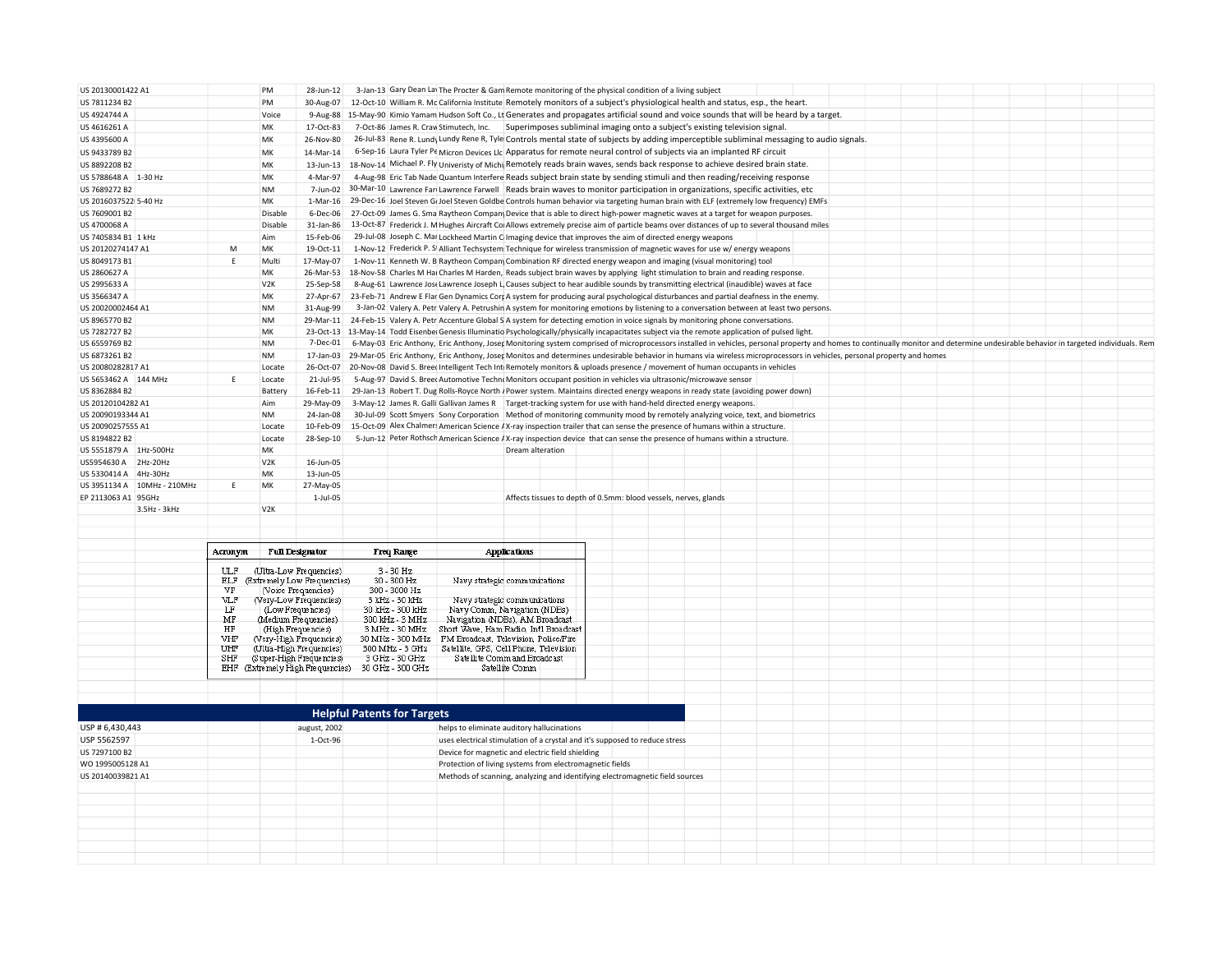| US 20130001422 A1            |              | PM                     | 28-Jun-12                                   |                                                   | 3-Jan-13 Gary Dean Lav The Procter & Gam Remote monitoring of the physical condition of a living subject                                                                                                                                                                    |                                                                  |  |  |  |
|------------------------------|--------------|------------------------|---------------------------------------------|---------------------------------------------------|-----------------------------------------------------------------------------------------------------------------------------------------------------------------------------------------------------------------------------------------------------------------------------|------------------------------------------------------------------|--|--|--|
| US 7811234 B2                |              | PM                     | 30-Aug-07                                   |                                                   | 12-Oct-10 William R. Mc California Institute Remotely monitors of a subject's physiological health and status, esp., the heart.                                                                                                                                             |                                                                  |  |  |  |
| US 4924744 A                 |              | Voice                  |                                             |                                                   | 9-Aug-88 15-May-90 Kimio Yamam Hudson Soft Co., Lt Generates and propagates artificial sound and voice sounds that will be heard by a target.                                                                                                                               |                                                                  |  |  |  |
| US 4616261 A                 |              | МK                     | 17-Oct-83                                   |                                                   | 7-Oct-86 James R. Craw Stimutech, Inc. Superimposes subliminal imaging onto a subject's existing television signal.                                                                                                                                                         |                                                                  |  |  |  |
| US 4395600 A                 |              | MK                     | 26-Nov-80                                   |                                                   | 26-Jul-83 Rene R. Lundy Lundy Rene R, Tyle Controls mental state of subjects by adding imperceptible subliminal messaging to audio signals.                                                                                                                                 |                                                                  |  |  |  |
| US 9433789 B2                |              | MK                     | 14-Mar-14                                   |                                                   | 6-Sep-16 Laura Tyler Pe Micron Devices LIc Apparatus for remote neural control of subjects via an implanted RF circuit                                                                                                                                                      |                                                                  |  |  |  |
| US 8892208 B2                |              | MK                     | 13-Jun-13                                   |                                                   | 18-Nov-14 Michael P. Fly Univeristy of Michi Remotely reads brain waves, sends back response to achieve desired brain state.                                                                                                                                                |                                                                  |  |  |  |
| US 5788648 A 1-30 Hz         |              | MK                     | 4-Mar-97                                    |                                                   | 4-Aug-98 Eric Tab Nade Quantum Interfere Reads subject brain state by sending stimuli and then reading/receiving response                                                                                                                                                   |                                                                  |  |  |  |
| US 7689272 B2                |              | <b>NM</b>              | 7-Jun-02                                    |                                                   | 30-Mar-10 Lawrence Fan Lawrence Farwell Reads brain waves to monitor participation in organizations, specific activities, etc                                                                                                                                               |                                                                  |  |  |  |
| US 2016037522 5-40 Hz        |              | МK                     |                                             |                                                   | 1-Mar-16 29-Dec-16 Joel Steven G(Joel Steven Goldbe Controls human behavior via targeting human brain with ELF (extremely low frequency) EMFs                                                                                                                               |                                                                  |  |  |  |
| US 7609001 B2                |              | Disable                | 6-Dec-06                                    |                                                   | 27-Oct-09 James G. Sma Raytheon Compan Device that is able to direct high-power magnetic waves at a target for weapon purposes.                                                                                                                                             |                                                                  |  |  |  |
| US 4700068 A                 |              | Disable                | 31-Jan-86                                   |                                                   | 13-Oct-87 Frederick J. M Hughes Aircraft Co Allows extremely precise aim of particle beams over distances of up to several thousand miles                                                                                                                                   |                                                                  |  |  |  |
| US 7405834 B1 1 kHz          |              | Aim                    | 15-Feb-06                                   |                                                   | 29-Jul-08 Joseph C. Mar Lockheed Martin C Imaging device that improves the aim of directed energy weapons                                                                                                                                                                   |                                                                  |  |  |  |
| US 20120274147 A1            | M            | MK                     | 19-Oct-11                                   |                                                   | 1-Nov-12 Frederick P. S Alliant Techsystem Technique for wireless transmission of magnetic waves for use w/energy weapons                                                                                                                                                   |                                                                  |  |  |  |
| US 8049173 B1                | F.           | Multi                  | 17-May-07                                   |                                                   | 1-Nov-11 Kenneth W. B Raytheon Compan Combination RF directed energy weapon and imaging (visual monitoring) tool                                                                                                                                                            |                                                                  |  |  |  |
| US 2860627 A                 |              | МK                     | 26-Mar-53                                   |                                                   | 18-Nov-58 Charles M Hai Charles M Harden, Reads subject brain waves by applying light stimulation to brain and reading response.                                                                                                                                            |                                                                  |  |  |  |
|                              |              |                        |                                             |                                                   | 8-Aug-61 Lawrence Jose Lawrence Joseph L, Causes subject to hear audible sounds by transmitting electrical (inaudible) waves at face                                                                                                                                        |                                                                  |  |  |  |
| US 2995633 A<br>US 3566347 A |              | V <sub>2</sub> K<br>MK | 25-Sep-58<br>27-Apr-67                      |                                                   | 23-Feb-71 Andrew E Flar Gen Dynamics Corr A system for producing aural psychological disturbances and partial deafness in the enemy.                                                                                                                                        |                                                                  |  |  |  |
| US 20020002464 A1            |              | <b>NM</b>              | 31-Aug-99                                   |                                                   |                                                                                                                                                                                                                                                                             |                                                                  |  |  |  |
|                              |              | <b>NM</b>              |                                             |                                                   | 3-Jan-02 Valery A. Petr Valery A. Petrushin A system for monitoring emotions by listening to a conversation between at least two persons.<br>24-Feb-15 Valery A. Petr Accenture Global S A system for detecting emotion in voice signals by monitoring phone conversations. |                                                                  |  |  |  |
| US 8965770 B2                |              |                        | 29-Mar-11                                   |                                                   |                                                                                                                                                                                                                                                                             |                                                                  |  |  |  |
| US 7282727 B2                |              | МK                     |                                             |                                                   | 23-Oct-13 13-May-14 Todd Eisenbei Genesis Illuminatio Psychologically/physically incapacitates subject via the remote application of pulsed light.                                                                                                                          |                                                                  |  |  |  |
| US 6559769 B2                |              | <b>NM</b>              | 7-Dec-01                                    |                                                   | 6-May-03 Eric Anthony, Eric Anthony, Joser Monitoring system comprised of microprocessors installed in vehicles, personal property and homes to continually monitor and determine undesirable behavior in targeted individuals                                              |                                                                  |  |  |  |
| US 6873261 B2                |              | <b>NM</b>              | 17-Jan-03                                   |                                                   | 29-Mar-05 Eric Anthony, Eric Anthony, Joser Monitos and determines undesirable behavior in humans via wireless microprocessors in vehicles, personal property and homes                                                                                                     |                                                                  |  |  |  |
| US 20080282817 A1            |              | Locate                 |                                             |                                                   | 26-Oct-07 20-Nov-08 David S. Breet Intelligent Tech Int Remotely monitors & uploads presence / movement of human occupants in vehicles                                                                                                                                      |                                                                  |  |  |  |
| US 5653462 A 144 MHz         | Ε            | Locate                 | 21-Jul-95                                   |                                                   | 5-Aug-97 David S. Breet Automotive Technt Monitors occupant position in vehicles via ultrasonic/microwave sensor                                                                                                                                                            |                                                                  |  |  |  |
| US 8362884 B2                |              | Battery                | 16-Feb-11                                   |                                                   | 29-Jan-13 Robert T. Dug Rolls-Royce North / Power system. Maintains directed energy weapons in ready state (avoiding power down)                                                                                                                                            |                                                                  |  |  |  |
| US 20120104282 A1            |              | Aim                    | 29-May-09                                   |                                                   | 3-May-12 James R. Galli Gallivan James R   Target-tracking system for use with hand-held directed energy weapons.                                                                                                                                                           |                                                                  |  |  |  |
| US 20090193344 A1            |              | <b>NM</b>              | 24-Jan-08                                   |                                                   | 30-Jul-09 Scott Smyers Sony Corporation Method of monitoring community mood by remotely analyzing voice, text, and biometrics                                                                                                                                               |                                                                  |  |  |  |
| US 20090257555 A1            |              | Locate                 | 10-Feb-09                                   |                                                   | 15-Oct-09 Alex Chalmers American Science AX-ray inspection trailer that can sense the presence of humans within a structure.                                                                                                                                                |                                                                  |  |  |  |
| US 8194822 B2                |              | Locate                 | 28-Sep-10                                   |                                                   | 5-Jun-12 Peter Rothsch American Science / X-ray inspection device that can sense the presence of humans within a structure.                                                                                                                                                 |                                                                  |  |  |  |
| US 5551879 A 1Hz-500Hz       |              | MK                     |                                             |                                                   | Dream alteration                                                                                                                                                                                                                                                            |                                                                  |  |  |  |
| US5954630 A 2Hz-20Hz         |              | V2K                    | 16-Jun-05                                   |                                                   |                                                                                                                                                                                                                                                                             |                                                                  |  |  |  |
| US 5330414 A 4Hz-30Hz        |              | MK                     | 13-Jun-05                                   |                                                   |                                                                                                                                                                                                                                                                             |                                                                  |  |  |  |
| US 3951134 A 10MHz - 210MHz  |              | MK                     | 27-May-05                                   |                                                   |                                                                                                                                                                                                                                                                             |                                                                  |  |  |  |
| EP 2113063 A1 95GHz          |              |                        | 1-Jul-05                                    |                                                   |                                                                                                                                                                                                                                                                             | Affects tissues to depth of 0.5mm: blood vessels, nerves, glands |  |  |  |
| 3.5Hz - 3kHz                 |              | V <sub>2</sub> K       |                                             |                                                   |                                                                                                                                                                                                                                                                             |                                                                  |  |  |  |
|                              |              |                        |                                             |                                                   |                                                                                                                                                                                                                                                                             |                                                                  |  |  |  |
|                              |              |                        |                                             |                                                   |                                                                                                                                                                                                                                                                             |                                                                  |  |  |  |
|                              | Acronym      |                        | <b>Full Designator</b>                      | <b>Freq Range</b>                                 | <b>Applications</b>                                                                                                                                                                                                                                                         |                                                                  |  |  |  |
|                              |              |                        |                                             |                                                   |                                                                                                                                                                                                                                                                             |                                                                  |  |  |  |
|                              | <b>III.F</b> |                        | (Ultra-Low Frequencies)                     | $3 - 30$ Hz                                       |                                                                                                                                                                                                                                                                             |                                                                  |  |  |  |
|                              | ELF          |                        | (Extremely Low Frequencies)                 | 30 - 300 Hz                                       | Navy strategic communications                                                                                                                                                                                                                                               |                                                                  |  |  |  |
|                              | VF           |                        | (Voice Frequencies)                         | 300 - 3000 Hz                                     |                                                                                                                                                                                                                                                                             |                                                                  |  |  |  |
|                              | VLF<br>LF    |                        | (Very-Low Frequencies)<br>(Low Frequencies) | 3 kHz - 30 kHz<br>30 kHz - 300 kHz                | Navy strategic communications<br>Navy Comm, Navigation (NDBs)                                                                                                                                                                                                               |                                                                  |  |  |  |
|                              | MF           |                        | (Medium Frequencies)                        | 300 kHz - 3 MHz                                   | Navigation (NDBs), AM Broadcast                                                                                                                                                                                                                                             |                                                                  |  |  |  |
|                              | HF           |                        | (High Frequencies)                          | 3 MHz - 30 MHz                                    | Short Wave, Ham Radio, Int'l Broadcast                                                                                                                                                                                                                                      |                                                                  |  |  |  |
|                              | VHF          |                        | (Very-High Frequencies)                     | 30 MHz - 300 MHz                                  | FM Broadcast, Television, Police/Fire                                                                                                                                                                                                                                       |                                                                  |  |  |  |
|                              | UHF          |                        | (Ultra-High Frequencies)                    | 300 MHz - 3 GHz                                   | Satellite, GPS, Cell Phone, Television                                                                                                                                                                                                                                      |                                                                  |  |  |  |
|                              | SHF          |                        | (Super-High Frequencies)                    | 3 GHz - 30 GHz                                    | Satellite Comm and Broadcast                                                                                                                                                                                                                                                |                                                                  |  |  |  |
|                              |              |                        |                                             | EHF (Extremely High Frequencies) 30 GHz - 300 GHz | Satellite Comm-                                                                                                                                                                                                                                                             |                                                                  |  |  |  |
|                              |              |                        |                                             |                                                   |                                                                                                                                                                                                                                                                             |                                                                  |  |  |  |
|                              |              |                        |                                             |                                                   |                                                                                                                                                                                                                                                                             |                                                                  |  |  |  |
|                              |              |                        |                                             |                                                   |                                                                                                                                                                                                                                                                             |                                                                  |  |  |  |
|                              |              |                        |                                             | <b>Helpful Patents for Targets</b>                |                                                                                                                                                                                                                                                                             |                                                                  |  |  |  |
| USP # 6.430.443              |              |                        | august, 2002                                |                                                   | helps to eliminate auditory hallucinations                                                                                                                                                                                                                                  |                                                                  |  |  |  |
| USP 5562597                  |              |                        | 1-Oct-96                                    |                                                   | uses electrical stimulation of a crystal and it's supposed to reduce stress                                                                                                                                                                                                 |                                                                  |  |  |  |
| US 7297100 B2                |              |                        |                                             |                                                   | Device for magnetic and electric field shielding                                                                                                                                                                                                                            |                                                                  |  |  |  |
| WO 1995005128 A1             |              |                        |                                             |                                                   | Protection of living systems from electromagnetic fields                                                                                                                                                                                                                    |                                                                  |  |  |  |
|                              |              |                        |                                             |                                                   |                                                                                                                                                                                                                                                                             |                                                                  |  |  |  |
| US 20140039821 A1            |              |                        |                                             |                                                   | Methods of scanning, analyzing and identifying electromagnetic field sources                                                                                                                                                                                                |                                                                  |  |  |  |
|                              |              |                        |                                             |                                                   |                                                                                                                                                                                                                                                                             |                                                                  |  |  |  |
|                              |              |                        |                                             |                                                   |                                                                                                                                                                                                                                                                             |                                                                  |  |  |  |
|                              |              |                        |                                             |                                                   |                                                                                                                                                                                                                                                                             |                                                                  |  |  |  |
|                              |              |                        |                                             |                                                   |                                                                                                                                                                                                                                                                             |                                                                  |  |  |  |
|                              |              |                        |                                             |                                                   |                                                                                                                                                                                                                                                                             |                                                                  |  |  |  |
|                              |              |                        |                                             |                                                   |                                                                                                                                                                                                                                                                             |                                                                  |  |  |  |
|                              |              |                        |                                             |                                                   |                                                                                                                                                                                                                                                                             |                                                                  |  |  |  |
|                              |              |                        |                                             |                                                   |                                                                                                                                                                                                                                                                             |                                                                  |  |  |  |